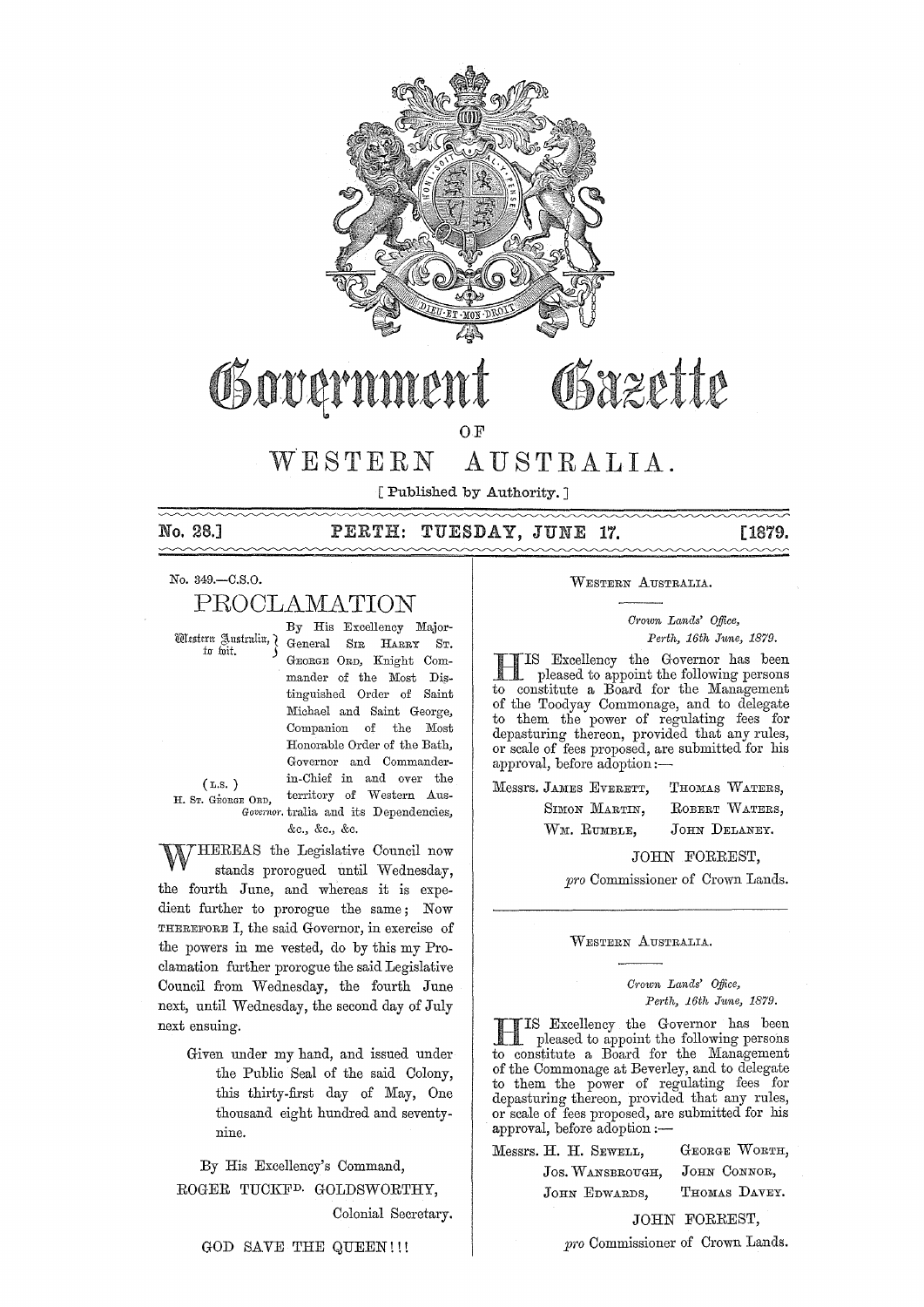

# Osazette OSover

 $O.F$ 

#### WESTERN AUSTRALIA.

[ Published by Authority. ]

**No. 28.]** PERTH: TUESDAY, JUNE **17.** [1879.

No. 349.-C.S.O.

# PROOLAMATION

By His Excellency Major- Ultstern gustruliu, General SIR HARRY ST. GEORGE ORD, Knight Commander of the Most Distinguished Order of Saint Michael and Saint George, Companion of the Most Honorable Order of the Bath, Governor and Commanderin-Chief in and over the (L.S. ) H. ST. GEORGE ORD, territory of Western Aus-*Governor.* tralia and its Dependencies,

&c., &c., &c.

WHEREAS the Legislative Council now stands prorogued until Wednesday, the fourth June, and whereas it is expedient further to prorogue the same; Now THEREFORE I, the said Governor, in exercise of the powers in me vested, do by this my Proclamation further prorogue the said Legislative Council from Wednesday, the fourth June next, until Wednesday, the second day of July next ensuing.

> Given under my hand, and issued under the Public Seal of the said Colony, this thirty-first day of May, One thousand eight hundred and seventynine.

By His Excellency's Command, ROGER TUCKFD. GOLDSWORTHY, Colonial Secretary.

GOD SAVE THE QUEEN!!!

WESTERN AUSTRALIA.

*Cl'own Lands' Office, Perth, 16th June, 1879.* 

H IS Excellency the Governor has been pleased to appoint the following persons to constitute a Board for the Management of the Toodyay Commonage, and to delegate to them the power of regulating fees for depasturing thereon, provided that any rules, or scale of fees proposed, are submitted for his approval, before adoption:-

Messrs. JAMES EVERETT, SIMON MARTIN, WM. RUMBLE, THOMAS WATERS, ROBERT WATERS, JOHN DELANEY.

JOHN FORREST,

*pro* Commissioner of Crown Lands.

WESTERN AUSTRALIA.

*Crown Lands' Office, Pedh, 16th June, 1879.* 

HIS Excellency the Governor has been pleased to appoint the following persons to constitute a Board for the Management of the Commonage at Beverley, and to delegate to them the power of regulating fees for depasturing thereon, provided that any rules, or scale of fees proposed, are submitted for his approval, before adoption :-

|  | Messrs. H. H. SEWELL, | GEORGE WORTH, |  |
|--|-----------------------|---------------|--|
|  | JOS. WANSBROUGH,      | JOHN CONNOR,  |  |
|  | JOHN EDWARDS,         | THOMAS DAVEY. |  |
|  |                       |               |  |

JOHN FORREST,

*pro* Commissioner of Crown Lands.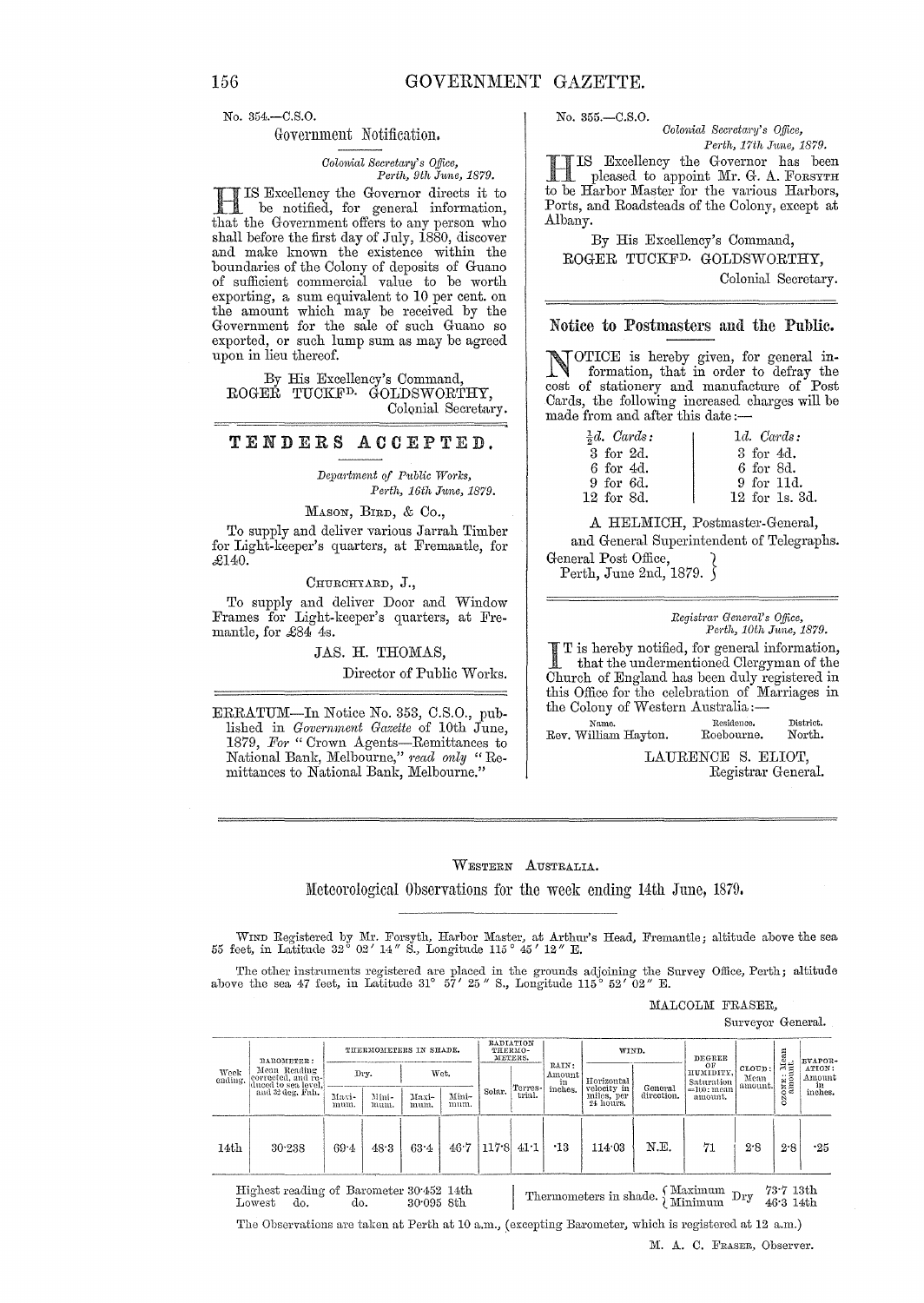No. 354.-C.8.0.

#### Government Notification.

*ColO11lial Secretary's Office, Pel·t7" 9th* Jt/fne, *1879.* 

HIS Excellency the Governor directs it to be notified, for general information, that the Government offers to any person who shall before the first day of July,  $1880$ , discover and make known the existence within the boundaries of the Colony of deposits of Guano of sufficient commercial value to be worth exporting, a sum equivalent to 10 per cent. on the amount which may be received by the Government for the sale of such Guano so exported, or such lump sum as may be agreed upon in lieu thereof.

By His Excellency's Command, ROGER TUCKED. GOLDSWORTHY, Colonial Secretary.

### TENDERS ACCEPTED.

*Depmilllent of Public Works, Perth, 16th June, 1879.* 

MASON, BIRD, & Co.,

To supply and deliver various Jarrah Timber for Light-keeper's quarters, at Fremantle, for £l40.

CHURCFITARD, J.,

To supply and deliver Door and Window Frames for Light-keeper's quarters, at Fremantle, for £84 4s.

### JAS. H. THOMAS,

Director of Public Works.

ERRATUM-In Notice No. 353, C.S.O., published in *Government Gazette* of 10th June, 1879, For "Crown Agents-Remittances to National Bank, Melbourne," *read only"* Remittances to National Bank, Melbourne."

No. 355.-C.8.0.

*Colonial Secretary's Office, Pm·th, 17th J1me, 1879.* 

HIS Excellency the Governor has been pleased to appoint Mr. G. A. FORSYTH to be Harbor Master for the various Harbors, Ports, and Roadsteads of the Colony, except at Albany.

By His Excellency's Command, ROGER TUCKFD. GOLDSWORTHY, Colonial Secretary.

#### Notice to Postmasters and the Public.

NOTICE is hereby given, for general information, that in order to defray the cost of stationery and manufacture of Post Cards, the following increased charges will be made from and after this date:—

| $\frac{1}{5}d$ . Cards: | $1d.$ Cards:   |
|-------------------------|----------------|
| 3 for 2d.               | 3 for 4d.      |
| 6 for 4d.               | 6 for 8d.      |
| 9 for 6d.               | 9 for 11d.     |
| 12 for 8d.              | 12 for 1s, 3d. |

A HELMICH, Postmaster-General, and General Superintendent of Telegraphs. General Post Office,

Perth, June 2nd, 1879.  $\delta$ 

#### *Registm?' Geneml's Office, Perth, 10th June, 1879.*

I T is hereby notified, for general information, that the undermentioned Clergyman of the Church of England has been duly registered in this Office for the celebration of Marriages in the Colony of Western Australia:-

**Name.** Itcsidenco. Rev. William Hayton. Roebourne. **District.**  North.

> LAURENCE S. ELIOT, Registrar Genera1.

WESTERN AUSTRALIA..

ll'Ieteorological Observations for the week ending 14th June, 1879.

WIND Registered by Mr. Forsyth, Harbor Master, at Arthur's Head, Fremantle; altitude above the sea 55 feet, in Latitude 32° 02' *14"* S., Longitude 115° 45' *12"* E.

The other instruments registered are placed in the grounds adjoining the Survey Office, Perth; altitude above the sea 47 feet, in Latitude 31° 57' 25" S., Longitude 115° 52' 02" E.

MALCOLM FRASER,

Surveyor General.

| Week<br>ending. | BAROMETER:<br>Mean Reading<br>eorrected, and re-<br>duced to sea level.<br>and 32 deg. Fah. | THERMOMETERS IN SHADE. |               | RADIATION<br>THERMO-<br>METERS. |               |        | WIND.             |                                  | DEGREE                                               |                       |                                                           | <b>EVAPOR-</b>            |                  |                                   |
|-----------------|---------------------------------------------------------------------------------------------|------------------------|---------------|---------------------------------|---------------|--------|-------------------|----------------------------------|------------------------------------------------------|-----------------------|-----------------------------------------------------------|---------------------------|------------------|-----------------------------------|
|                 |                                                                                             |                        | Drv.          |                                 | Wet.          |        | Terres-<br>trial. | RAIN:<br>Amount<br>in<br>inches. | Horizontal<br>velocity in<br>miles, per<br>24 hours. | General<br>direction. | OF<br>HUMIDITY,<br>Saturation<br>$=100$ : mean<br>amount. | CLOUD:<br>Mean<br>amount. | EXONE: Mean<br>Ö | ATION:<br>Amount<br>in<br>inches. |
|                 |                                                                                             | Maxi-<br>mum.          | Mini-<br>mum. | Maxi-<br>mum.                   | Mini-<br>mum. | Solar. |                   |                                  |                                                      |                       |                                                           |                           |                  |                                   |
| 14th            | 30.238                                                                                      | $69 - 4$               | 48.3          | 63.4                            | 46.7          | 117.8  | 41:1              | $\cdot$ 13                       | 114.03                                               | N.E.                  | 71                                                        | 2.8                       | 2.8              | .25                               |

Highest reading of Barometer 30<sup>.452</sup> 14th Lowest do. do. 30.095 8th Thermometers in shade.  $\left\{\n \begin{array}{ll}\n \text{Maximum} & \text{Dry} & \text{73-7 13th} \\
 \text{Minimum} & \text{Dry} & \text{46-3 14th}\n \end{array}\n \right.$ 

The Observations are taken at Perth at 10 a.m., (excepting Barometer, which is registered at 12 a.m.)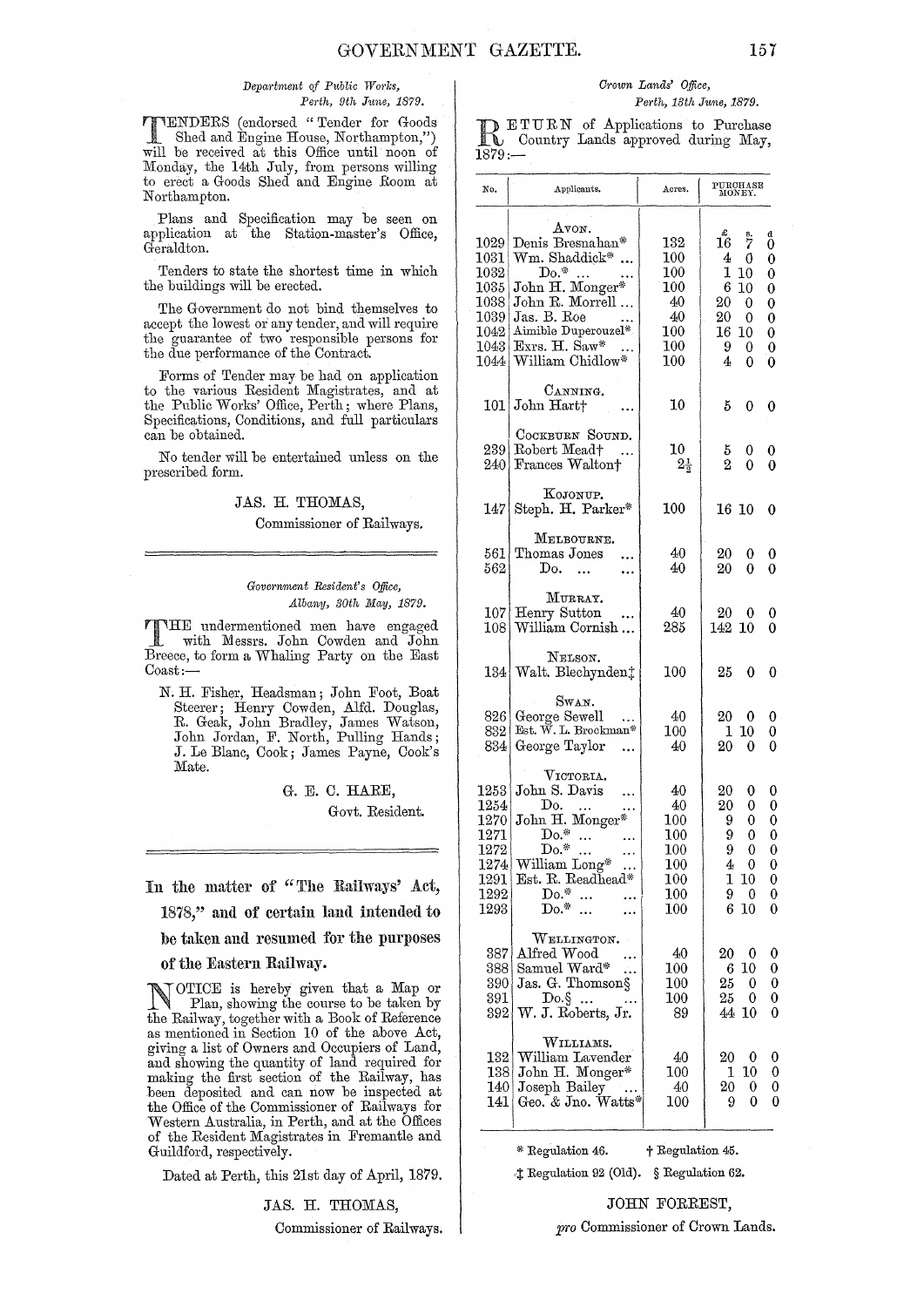#### *Depal·tment of Public Works, Perth, 9th J1me, 1879.*

**TTENDERS** (endorsed "Tender for Goods<br>
Shed and Engine House, Northampton,")<br>
Will be received at this Office until near of will be received at this Office until noon of Monday, the 14th July, from persons willing to erect a Goods Shed and Engine Room at Northampton.

Plans and Specification may be seen on application at the Station-master's Office, Geraldton.

Tenders to state the shortest time in which the buildings will be erected.

The Government do not bind themselves to accept the lowest or any tender, and will require the guarantee of two responsible persons for the due performance of the Contract.

Forms of Tender may be had on application to the various Resident Magistrates, and at the Public Works' Office, Perth; where Plans, Specifications, Conditions, and full particulars can be obtained.

No tender will be entertained unless on the prescribed form.

#### JAS. H. THOMAS,

## Commissioner of Railways.

#### $Government\ Resident's\ Office.$ *Albany, 30th May, 1879.*

THE undermentioned men have engaged with Messrs. John Cowden and John Breece, to form a Whaling Party on the East Coast:-

N. H. Fisher, Headsman; John Foot, Boat Steerer; Henry Cow den, Alfd. Douglas, R. Geak, John Bradley, James Watson, John Jordan, F. North, Pulling Hands; J. Le Blanc, Cook; James Payne, Cook's Mate.

> G. E. C. HARE, Govt. Resident.

In the matter of "The Railways' Act,

1878," and of certain land intended to

be taken amI resumed for the purposes

of the Eastern Railway.

NOTICE is hereby given that a Map or Plan, showing the course to be taken by the Railway, together with a Book of Reference as mentioned in Section 10 of the above Act, giving a list of Owners and Occupiers of Land, and showing the quantity of land required for making the first section of the Railway, has been deposited and can now be inspected at the Office of the Commissioner of Railways for Western Australia, in Perth, and at the Offices of the Resident Magistrates in Fremantle and Guildford, respectively.

Dated at Perth, this 21st day of April, 1879.

JAS. H. THOMAS,

Commissioner of Railways.

#### *Crown Lands' Office, Perth, 13th Jwne, 1879.*

**RETURN** of Applications to Purchase<br> **RETURN** Country Lands approved during May, 1879:-

| No.                                                                               | Applicants.                                                                                                                                                              | Acres.                                                                        | PURCHASE<br>MONEY.                                                                                                                                                                     |
|-----------------------------------------------------------------------------------|--------------------------------------------------------------------------------------------------------------------------------------------------------------------------|-------------------------------------------------------------------------------|----------------------------------------------------------------------------------------------------------------------------------------------------------------------------------------|
| 1029<br>$1031\vert$<br>1032<br>1035<br>$1038\,$<br>1039<br>1042<br>1043 <br>1044  | $A$ von.<br>Denis Bresnahan*<br>Wm. Shaddick*<br>$Do.*$<br>John H. Monger*<br>John R. Morrell<br>Jas. B. Roe<br>Aimible Duperouzel*<br>Exrs. H. Saw*<br>William Chidlow* | 132<br>100<br>$100\,$<br>$100\,$<br>40<br>40<br>100<br>$100\,$<br>$100\,$     | $16^{\text{g}}$<br>d<br>0<br>$\frac{8}{7}$<br>4<br>0<br>0<br>1<br>10<br>0<br>6<br>10<br>0<br>20<br>$\overline{0}$<br>0<br>20<br>0<br>0<br>16<br>0<br>10<br>9.<br>0<br>0<br>4<br>0<br>0 |
|                                                                                   | CANNING.<br>101 John Hart                                                                                                                                                | 10                                                                            | 5<br>0<br>0                                                                                                                                                                            |
| 2391                                                                              | COCKBURN SOUND.<br>Robert Mead†<br>240 Frances Walton+                                                                                                                   | 10<br>$2\frac{1}{2}$                                                          | 5<br>0<br>0<br>$\rm\overline{2}$<br>$\theta$<br>0                                                                                                                                      |
| 147                                                                               | KOJONUP.<br>Steph. H. Parker*                                                                                                                                            | 100                                                                           | 16 10<br>0                                                                                                                                                                             |
| 561 I<br>562.                                                                     | MELBOURNE.<br>Thomas Jones<br>Do.                                                                                                                                        | 40<br>40                                                                      | 20<br>0<br>0<br>20<br>0<br>0                                                                                                                                                           |
| $107\vert$<br>$108\,$                                                             | MURRAY.<br>Henry Sutton<br>William Cornish                                                                                                                               | 40<br>285                                                                     | 20<br>0<br>0<br>142 10<br>0                                                                                                                                                            |
| $134\,$                                                                           | NELSON.<br>Walt. Blechynden;                                                                                                                                             | 100                                                                           | 25<br>0<br>0                                                                                                                                                                           |
| 826<br>832.<br>834                                                                | Swan.<br>George Sewell<br>Est. W. L. Brockman*<br>George Taylor                                                                                                          | 40<br>100<br>40                                                               | 20<br>- 0<br>0<br>ı<br>10<br>0<br>20<br>0<br>0                                                                                                                                         |
| 1253<br>1254<br>1270<br>1271<br>$1272\,$<br>1274<br>1291  <br>$1292\vert$<br>1293 | VICTORIA.<br>John S. Davis<br>Do.<br>John H. Monger*<br>$Do.*$<br>$Do.*$<br>William Long*<br>Est. R. Readhead*<br>$Do.*$<br>$\dddotsc$<br>$Do.*$                         | 40<br>40<br>$100\,$<br>100<br>100<br>$100\,$<br>$100\,$<br>$100\,$<br>$100\,$ | 20<br>0<br>0<br>20<br>0<br>0<br>0<br>0<br>9<br>9<br>0<br>0<br>9<br>0<br>0<br>$4\quad 0$<br>0<br>1 10<br>0<br>9<br>0<br>0<br>6<br>10<br>0                                               |
| 387<br>388 <br>390 <br>391<br>392                                                 | WELLINGTON.<br>Alfred Wood<br>Samuel Ward*<br>ùч<br>Jas. G. Thomson§<br>Do.<br>§ $\ldots$<br>W. J. Roberts, Jr.                                                          | 40<br>$100\,$<br>100<br>100<br>89                                             | 20<br>$\bf{0}$<br>0<br>10<br>0<br>6.<br>25<br>0<br>0<br>25<br>0<br>0<br>44 10<br>0                                                                                                     |
| 132 <br>138<br>140<br>141                                                         | WILLIAMS.<br>William Lavender<br>John H. Monger*<br>Joseph Bailey<br>Geo. & Jno. Watts*                                                                                  | 40<br>$100\,$<br>40<br>$100\,$                                                | 20<br>$\boldsymbol{0}$<br>0<br>1.10<br>0<br>0<br>0<br>20.<br>0<br>9<br>0                                                                                                               |

\* Regulation 46.  $\ddot{}$  Regulation 45.

<I: Regulation 92 (Old). § Regulation 62.

# JOHN FORREST,

*pro* Commissioner of Crown Lands.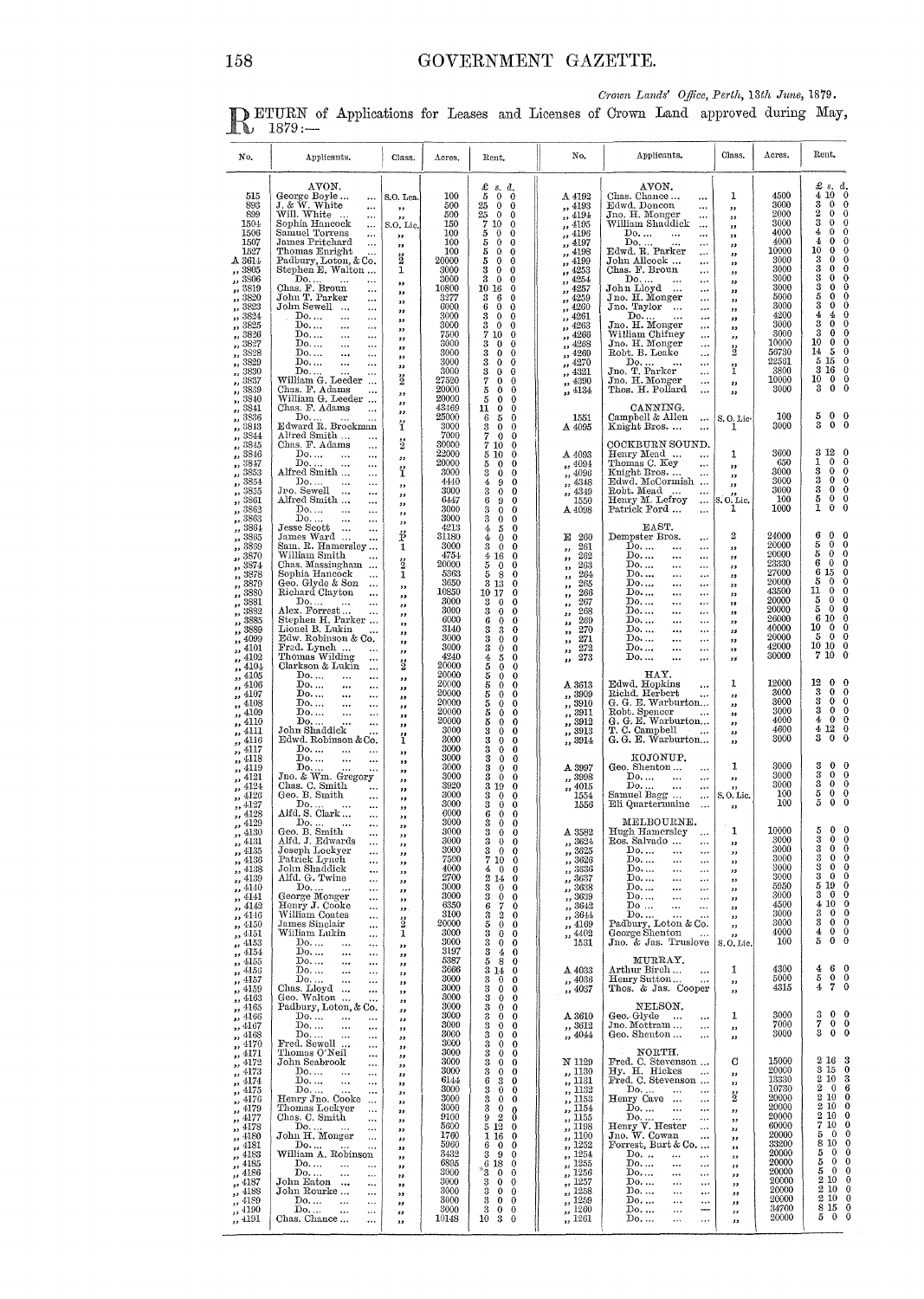Crown Lands' Office, Perth, 13th June, 1879.

DETURN of Applications for Leases and Licenses of Crown Land approved during May, 1879.

| No.                                                                                                                                                                                                                                                                                  | Applicants.                                                                                                                                                                                                                                                                                                                                                                                                                                                                                                                                                                                          | Class.                                                                                                                                                                                               | Acres.                                                                                                                                                           | Rent.                                                                                                                                                                                                                                                                                                                                                                                                                                                                                                                                                                                                                                                               | No.                                                                                                                                                                                                                                                                                                  | Applicants.                                                                                                                                                                                                                                                                                                                                                                                                                                                                                                                                                                                                                                                                                  | Class.                                                                                                                                                                 | Acres.                                                                                                                                                                    | Rent.                                                                                                                                                                                                                                                                                                                                                                                                                                                                                                                                                                                                         |
|--------------------------------------------------------------------------------------------------------------------------------------------------------------------------------------------------------------------------------------------------------------------------------------|------------------------------------------------------------------------------------------------------------------------------------------------------------------------------------------------------------------------------------------------------------------------------------------------------------------------------------------------------------------------------------------------------------------------------------------------------------------------------------------------------------------------------------------------------------------------------------------------------|------------------------------------------------------------------------------------------------------------------------------------------------------------------------------------------------------|------------------------------------------------------------------------------------------------------------------------------------------------------------------|---------------------------------------------------------------------------------------------------------------------------------------------------------------------------------------------------------------------------------------------------------------------------------------------------------------------------------------------------------------------------------------------------------------------------------------------------------------------------------------------------------------------------------------------------------------------------------------------------------------------------------------------------------------------|------------------------------------------------------------------------------------------------------------------------------------------------------------------------------------------------------------------------------------------------------------------------------------------------------|----------------------------------------------------------------------------------------------------------------------------------------------------------------------------------------------------------------------------------------------------------------------------------------------------------------------------------------------------------------------------------------------------------------------------------------------------------------------------------------------------------------------------------------------------------------------------------------------------------------------------------------------------------------------------------------------|------------------------------------------------------------------------------------------------------------------------------------------------------------------------|---------------------------------------------------------------------------------------------------------------------------------------------------------------------------|---------------------------------------------------------------------------------------------------------------------------------------------------------------------------------------------------------------------------------------------------------------------------------------------------------------------------------------------------------------------------------------------------------------------------------------------------------------------------------------------------------------------------------------------------------------------------------------------------------------|
| 515<br>893<br>899<br>1504<br>1506<br>1507<br>1527<br>A 3614<br>,, 3805<br>,, 3806<br>,, 3819<br>,, 3820<br>,, 3823<br>,, 3824<br>$\frac{2}{100}$ 3825<br>,, 3826<br>$\frac{1}{2}$ , 3827<br>$\frac{7}{10}$ 3828<br>$\frac{1}{1}$ , 3829<br>$\frac{3830}{25}$<br>$\frac{2}{1}$ , 3837 | AVON.<br>George Boyle<br>$\cdots$<br>J. & W. White<br>$\ldots$<br>Will. White<br>$\cdots$<br>Sophia Hancock<br>$\cdots$<br>Samuel Torrens<br>$\cdots$<br>James Pritchard<br>$\cdots$<br>Thomas Enright<br><br>Padbury, Loton, & Co.<br>Stephen E. Walton<br>Do.<br>Chas. F. Broun<br><br>John T. Parker<br>$\cdots$<br>John Sewell<br>$\cdots$<br>$\cdots$<br>Do<br>$\ddotsc$<br>$\cdots$<br>Do<br><br>$\cdots$<br>Do.<br>$\cdots$<br>$\cdots$<br>$\mathrm{Do} \dots$<br>$\ddotsc$<br>$\cdots$<br>Do.<br>$\ddotsc$<br>$\cdots$<br>$\mathbf{Do}$<br>$\ddotsc$<br>$\cdots$<br>Do.<br>William G. Leeder | S.O. Lea.<br>,,<br>,,<br>S.O. Lic.<br>,,<br>,,<br>ž<br>1<br>$\cdot$<br>,,<br>$^{\prime}$<br>,,<br>$^{\tiny{\text{12}}}$<br>,<br>$, \,$<br>,,<br>,<br>55<br>ខ្ច                                       | 100<br>500<br>500<br>150<br>100<br>100<br>100<br>20000<br>3000<br>3000<br>10800<br>3277<br>6000<br>3000<br>3000<br>7500<br>3000<br>3000<br>3000<br>3000<br>27520 | $\frac{x}{5}$<br>s. d.<br>$\bf{0}$<br>0<br>25<br>$\bf{0}$<br>$\bf{0}$<br>25<br>$\overline{0}$<br>$\theta$<br>$\tilde{7}$<br>10<br>$\theta$<br>5<br>5<br>5<br>$\bf{0}$<br>$\mathbf 0$<br>$\mathbf{0}$<br>$\bf{0}$<br>0<br>0<br>$\bf 5$<br>$\bf{0}$<br>0<br>3<br>$\mathbf 0$<br>$\mathbf{0}$<br>3<br>$\bf{0}$<br>0<br>10 16<br>0<br>$\rm 3$<br>$\bf{0}$<br>6<br>6<br>$\mathbf{0}$<br>$\mathbf 0$<br>3<br>$\bf{0}$<br>0<br>3<br>$\bf{0}$<br>$\bf{0}$<br>7 10<br>$\mathbf 0$<br>$\scriptstyle\rm 3$<br>$\bf{0}$<br>$\bf{0}$<br>$\bf 3$<br>$\bf{0}$<br>$\bf{0}$<br>$\overline{\mathbf{3}}$<br>$\bf{0}$<br>$\mathbf 0$<br>$\frac{3}{7}$ 5 5<br>$\mathbf 0$<br>0<br>0<br>0 | A 4192<br>,, 4193<br>,, 4194<br>,, 4195<br>,, 4196<br>,, 4197<br>,, 4198<br>,, 4199<br>, 4253<br>, 4254<br>, 4257<br>, 4259<br>,, 4260<br>,, 4261<br>,, 4263<br>,, 4266<br>,4268<br>,, 4269<br>,, 4270<br>,, 4321<br>$, \frac{4390}{4134}$                                                           | AVON.<br>Chas. Chance<br>$\cdots$<br>Edwd, Doncon<br>$\ddotsc$<br>Jno. H. Monger<br>$\cdots$<br>William Shaddick<br>$\ddotsc$<br>Do.<br>$\ddotsc$<br>$\ddotsc$<br>Do.<br>Edwd. R. Parker<br>$\cdots$<br>$\cdots$<br>John Allcock<br>$\ddotsc$<br>Chas. F. Broun<br><br>Do.<br>$\cdots$<br>John Lloyd<br>$\ddotsc$<br>Jno. H. Monger<br>$\cdots$<br>Jno. Taylor<br>$\cdots$<br>$\cdots$<br>Do<br>$\cdots$<br>Jno. H. Monger<br>$\cdots$<br>William Chifney<br>$\cdots$<br>Jno. H. Monger<br>$\cdots$<br>Robt. B. Leake<br>$\cdots$<br>Do<br>$\cdots$<br>Jno. T. Parker<br>$\ddotsc$<br>Jno. H. Monger<br>                                                                                     | 1<br>,,<br>$\overline{\mathbf{z}}$<br>,<br>$^{\rm 33}$<br>$^{\prime}$<br>$\bullet$<br>,,<br>,,<br>$^{\prime\prime}$<br>"<br>,,<br>,,<br>,,<br>,,<br>,,<br>3<br>ï<br>55 | 4500<br>3000<br>2000<br>3000<br>4000<br>4000<br>10000<br>3000<br>3000<br>3000<br>3000<br>5000<br>3000<br>4200<br>3000<br>3000<br>10000<br>56730<br>22561<br>3800<br>10000 | $\begin{array}{cc} \text{\pounds} & \text{s.} & \text{d.} \\ \text{4} & 10 & 0 \end{array}$<br>3<br>$\mathbf 0$<br>$\bf{0}$<br>$^{2}$<br>$\mathbf{0}$<br>$\bf{0}$<br>3<br>$\mathbf 0$<br>$\bf{0}$<br>$\mathbf 0$<br>$\mathbf{0}$<br>4<br>$\bf{0}$<br>4<br>0<br>10<br>$\bf{0}$<br>$\mathbf 0$<br>3<br>$\bf{0}$<br>$\mathbf 0$<br>3<br>$\bf{0}$<br>0<br>3<br>$\bf{0}$<br>$\bf{0}$<br>3<br>$\bf{0}$<br>0<br>5<br>$\bf{0}$<br>0<br>3<br>0<br>0<br>4<br>4<br>0<br>3<br>0<br>0<br>3<br>$\bf{0}$<br>0<br>10<br>$\bf{0}$<br>$\bf{0}$<br>14<br>5<br>0<br>5<br>15<br>0<br>3<br>16<br>0<br>10<br>$\bf{0}$<br>$\mathbf 0$ |
| $\frac{2}{10}$ , $\frac{3839}{200}$<br>$, \frac{3840}{ }$<br>$\frac{7}{10}$ 3841<br>, 3836<br>$\frac{2}{10}$ , $\frac{3813}{100}$                                                                                                                                                    | Chas. F. Adams<br>William G. Leeder<br>Chas. F. Adams<br>$\ddotsc$<br>Do<br>Edward R. Brockman                                                                                                                                                                                                                                                                                                                                                                                                                                                                                                       | ,,<br>,,<br>,,<br>ï                                                                                                                                                                                  | 20000<br>20000<br>43469<br>25000<br>3000                                                                                                                         | $\bf{0}$<br>$\bf{0}$<br>$\mathbf 0$<br>$\bf{0}$<br>1İ<br>$\bf{0}$<br>$\bf{0}$<br>$\mathbf 0$<br>6<br>5<br>$\bf{0}$<br>$\bf{0}$                                                                                                                                                                                                                                                                                                                                                                                                                                                                                                                                      | 1551<br>$\Delta 4095$                                                                                                                                                                                                                                                                                | Thos. H. Pollard<br>$\cdots$<br>CANNING.<br>Campbell & Allen<br>$\cdots$<br>Knight Bros.                                                                                                                                                                                                                                                                                                                                                                                                                                                                                                                                                                                                     | 33<br>S.O. Lic-<br>ı                                                                                                                                                   | 3000<br>100<br>3000                                                                                                                                                       | 3<br>0<br>$\bf{o}$<br>5<br>$\mathbf{0}$<br>0<br>3<br>$\bf{0}$<br>0                                                                                                                                                                                                                                                                                                                                                                                                                                                                                                                                            |
| ,, 3844<br>$\frac{7}{10}$ , 3845<br>, 3846<br>$$ $3847$<br>,, 3853<br>,, 3854<br>$, \frac{3855}{3800}$<br>,, 3861<br>, 3862<br>,, 3863                                                                                                                                               | Alfred Smith<br>$\ddotsc$<br>Chas. F. Adams<br>$\ddotsc$<br>Do<br>$\cdots$<br>$\cdots$<br>Do.<br>$\ddots$<br>$\ddotsc$<br>Alfred Smith<br>$\ddotsc$<br>Do.<br>$\ldots$<br>$\cdots$<br>Jro. Sewell<br>$\ddotsc$<br>Alfred Smith<br>$\cdots$<br>Do<br>$\ddotsc$<br>$\ddotsc$<br>$Do. \dots$                                                                                                                                                                                                                                                                                                            | $\ddot{2}$<br>33<br>ï<br>,,<br>,,<br>,,<br>,,                                                                                                                                                        | 7000<br>30000<br>22000<br>20000<br>3000<br>4440<br>3000<br>6447<br>3000<br>3000                                                                                  | $\frac{3}{7}$<br>$\mathbf 0$<br>$\mathbf{0}$<br>710<br>$\bf{0}$<br>$\bf{0}$<br>5 10<br>$\ddot{\mathbf{0}}$<br>5<br>$\bf{0}$<br>$\mathbf 0$<br>3<br>$\mathbf{0}$<br>$\bf{0}$<br>4<br>9<br>3<br>$\bf{0}$<br>$\bf{0}$<br>6<br>$\mathbf 0$<br>9<br>3<br>$\mathbf 0$<br>$\bf{0}$<br>3<br>$\mathbf 0$<br>$\bf{0}$                                                                                                                                                                                                                                                                                                                                                         | A 4093<br>,, $4094$<br>,, 4096<br>,, 4348<br>$\frac{4349}{1550}$<br>,,<br>A 4098                                                                                                                                                                                                                     | COCKBURN SOUND.<br>Henry Mead<br>$\cdots$<br>Thomas C. Key<br>$\ldots$<br>Knight Bros.<br>$\cdots$<br>Edwd. McCormish<br>Robt. Mead<br>$\ddotsc$<br>$\cdots$<br>Henry M. Lefroy<br>$\cdots$<br>Patrick Ford<br>$\ddotsc$                                                                                                                                                                                                                                                                                                                                                                                                                                                                     | 1<br>,,<br>,,<br>$\overline{\mathbf{z}}$<br>S. O. Lic.<br>1                                                                                                            | 3600<br>650<br>3000<br>3000<br>3000<br>100<br>1000                                                                                                                        | 312<br>$\bf{0}$<br>$\mathbf 0$<br>1<br>0<br>3<br>0<br>$\bf{o}$<br>3<br>$\bf{0}$<br>$\bf{0}$<br>3<br>$\bf{0}$<br>$\bf{0}$<br>$\frac{5}{1}$<br>$\bf{0}$<br>$\bf{0}$<br>$\bf{0}$<br>$\bf{0}$                                                                                                                                                                                                                                                                                                                                                                                                                     |
| $\frac{2}{100}$ 3864<br>,, 3865<br>,, 3869<br>$\frac{3870}{1000}$<br>$\frac{3874}{10000}$<br>$\frac{3878}{10000}$<br>$\frac{3880}{1,3881}$<br>$\frac{3882}{1000}$<br>,, 4099<br>,, 4101<br>,, 4102                                                                                   | $\ddotsc$<br>$\cdots$<br>Jesse Scott<br>$\ldots$<br>$\cdots$<br>James Ward<br>$\ddotsc$<br>Sam. R. Hamersley<br>William Smith<br>$\cdots$<br>Chas. Massingham<br>Sophia Hancock<br>نده<br>Geo. Glyde & Son<br>$\ldots$<br>Richard Clayton<br>$\cdots$<br>Do<br>$\cdots$<br>${\rm Alex.~For rest \dots}$<br>$\ddotsc$<br>Stephen H. Parker<br>Lionel B. Lukin<br>Edw. Robinson & Co.<br>Fred. Lynch<br>Thomas Wilding<br>                                                                                                                                                                             | ,,<br>ť<br>1<br>$\ddot{2}$<br>ı<br>$^{\prime}$<br>33<br>,,<br>$^{\prime}$<br>$\overline{\mathbf{z}}$<br>,,<br>,<br>$^{\prime}$<br>ž                                                                  | 4213<br>31180<br>3000<br>4754<br>20000<br>5363<br>3650<br>10850<br>3000<br>3000<br>6000<br>3140<br>3000<br>3000<br>4240<br>20000                                 | 4<br>$\bf{0}$<br>5<br>4<br>$\bf{0}$<br>$\mathbf 0$<br>3<br>$\overline{0}$<br>$\bf{0}$<br>416<br>$\bf{0}$<br>5<br>$\mathbf{0}$<br>$\bf{0}$<br>5<br>- 8<br>$\mathbf{0}$<br>3 13<br>$\mathbf 0$<br>10 17<br>$\bf{0}$<br>3<br>$\bf{0}$<br>0<br>3<br>$\bf{0}$<br>$\mathbf{0}$<br>6<br>$\bf{0}$<br>$\bf{0}$<br>$\frac{3}{3}$<br>3<br>$\theta$<br>0<br>$\bf{0}$<br>3<br>$\bf{0}$<br>$\mathbf 0$<br>5<br>$\bf{0}$                                                                                                                                                                                                                                                           | Е<br>260<br>261<br>,,<br>$262\,$<br>,,<br>263<br>,,<br>264<br>,,<br>265<br>,,<br>266<br>,,<br>267<br>,,<br>268<br>,,<br>269<br>$^{11}$<br>270<br>33<br>271<br>,,<br>272<br>,,<br>$273\,$<br>,,                                                                                                       | EAST.<br>Dempster Bros.<br>$\cdots$<br>Do.<br><br>$\ddotsc$<br>Do.<br><br><br>Do.<br>$\cdots$<br><br>Do.<br><br>$\cdots$<br>$\mathbb{D}^0$<br><br>$\ddotsc$<br>$\mathbf{Do}$<br><br>$\cdots$<br>$\mathrm{Do}$<br>$\ldots$<br>$\cdots$<br>Do<br>$\cdots$<br>$\cdots$<br>Do.<br>$\ddot{\phantom{0}}$<br>$\cdots$<br>Do.<br><br><br>Do.<br>$\ddotsc$<br>$\cdots$<br>Do.<br>$\cdots$<br>$\cdots$<br>Do<br>$\ddotsc$<br>                                                                                                                                                                                                                                                                          | 2<br>$\bullet$<br>55<br>,,<br>$^{13}$<br>33<br>33<br>,<br>$^{\bullet}$<br>,,<br>35<br>,,<br>,,<br>35                                                                   | 24000<br>20000<br>20000<br>23330<br>27000<br>20000<br>43500<br>20000<br>20000<br>26000<br>40000<br>20000<br>42000<br>30000                                                | 6<br>0<br>$\bf{0}$<br>5<br>0<br>0<br>$\bf{0}$<br>5<br>0<br>$\bf{0}$<br>6<br>0<br>15<br>6<br>$\bf{0}$<br>5<br>$\bf{0}$<br>$\bf{0}$<br>11<br>0<br>$\mathbf 0$<br>5<br>0<br>$\bf{0}$<br>$\mathbf 0$<br>5<br>0<br>10<br>6<br>$\bf{0}$<br>10<br>0<br>$\bf{0}$<br>5<br>0<br>$\mathbf 0$<br>10 10<br>$\bf{0}$<br>7<br>10<br>$\bf{0}$                                                                                                                                                                                                                                                                                 |
| ,, 4104<br>$\frac{2}{3}$ , 4105<br>$\frac{7}{22}$ 4106<br>,, 4107<br>,, 4108<br>,, 4109<br>,, 4110<br>,, 4111<br>,, 4116                                                                                                                                                             | Clarkson & Lukin<br>$\ddotsc$<br>Do.<br>$\cdots$<br>$\ddotsc$<br>Do.<br>$\cdots$<br>$\cdots$<br>Do.<br>$\cdots$<br>$\cdots$<br>Do.<br>$\cdots$<br><br>Do.<br>$\ddotsc$<br><br>Do.<br><br><br>John Shaddick<br>Edwd. Robinson & Co.                                                                                                                                                                                                                                                                                                                                                                   | $\cdot$<br>$^{\circ}$<br>$^{\bullet}$<br>22<br>,,<br>,,<br>ï                                                                                                                                         | 20000<br>20000<br>20000<br>20000<br>20000<br>20000<br>3000<br>3000                                                                                               | 4555555<br>$\bf{0}$<br>0<br>$\bf{0}$<br>$\bf{0}$<br>$\bf{0}$<br>$\bf{0}$<br>$\mathbf 0$<br>$\mathbf{0}$<br>$\mathbf{0}$<br>$\mathbf 0$<br>$\bf{0}$<br>$\bf{0}$<br>$\mathbf{0}$<br>$\mathbf 0$<br>3<br>$\bf{0}$<br>$\bf{0}$<br>3<br>$\mathbf{0}$<br>$\bf{0}$                                                                                                                                                                                                                                                                                                                                                                                                         | A 3613<br>,, 3909<br>$\frac{3910}{1000}$<br>$\frac{3911}{3912}$<br>$\frac{3912}{2913}$<br>,, 3914                                                                                                                                                                                                    | HAY.<br>Edwd. Hopkins<br>$\cdots$<br>Richd, Herbert<br>$\cdots$<br>G. G. E. Warburton<br>Robt. Spencer<br>G. G. E. Warburton<br>T. C. Campbell<br>$\cdots$<br>G. G. E. Warburton                                                                                                                                                                                                                                                                                                                                                                                                                                                                                                             | ı<br>$\mathbf{12}$<br>$^{\prime}$<br>$^{11}$<br>$^{11}$<br>33<br>$^{32}$                                                                                               | 12000<br>3000<br>3000<br>3000<br>4000<br>4600<br>3000                                                                                                                     | 12<br>$\bf{0}$<br>$^{\rm o}$<br>0<br>3<br>$\bf{0}$<br>3<br>0<br>$\bf{0}$<br>3<br>0<br>0<br>4<br>$\bf{0}$<br>$\mathbf 0$<br>4 12<br>$\bf{0}$<br>3<br>0<br>$\bf{0}$                                                                                                                                                                                                                                                                                                                                                                                                                                             |
| ,, 4117<br>,, 4118<br>,, 4119<br>,, 4121<br>,4124<br>$\frac{1}{1}$ , 4126<br>,, 4128                                                                                                                                                                                                 | Do.<br>$\cdots$<br>$\ddotsc$<br>Do.<br>$\ddotsc$<br>$\ddotsc$<br>$\mathbf{Do}$<br>$\ddotsc$<br>Jno. & Wm. Gregory<br>Chas. C. Smith<br>$\ddotsc$<br>Geo. B. Smith<br>$\cdots$<br>$\begin{array}{c} \text{Do.} \dots \\ \text{Alfd. S. Clark} \dots \end{array}$<br>$\cdots$<br>$\cdots$                                                                                                                                                                                                                                                                                                              | $\overline{\mathbf{z}}$<br>,<br>$^{\bullet}$<br>$^{\prime}$<br>$^{\prime}$<br>$, \,$<br>$^{\prime}$<br>,,                                                                                            | 3000<br>3000<br>3000<br>3000<br>3920<br>3000<br>3000<br>6000                                                                                                     | 3<br>$\mathbf 0$<br>$\bf{0}$<br>3<br>$\bf{0}$<br>$\mathbf 0$<br>3<br>$\bf{0}$<br>$\mathbf 0$<br>3<br>$\mathbf{0}$<br>$\bf{0}$<br>3 19<br>$\bf{0}$<br>3<br>$\mathbf{0}$<br>$\mathbf{0}$<br>$\ddot{\mathbf{0}}$<br>3<br>$\theta$<br>$\mathbf{0}$<br>6<br>$\bf{0}$                                                                                                                                                                                                                                                                                                                                                                                                     | A 3997<br>,, 3998<br>$\frac{1}{1554}$<br>1556                                                                                                                                                                                                                                                        | KOJONUP.<br>Geo. Shenton<br>$\cdots$<br>Do.<br><br>Do.<br>$\cdots$<br>$\cdots$<br>Samuel Bagg<br>$\ldots$<br>Eli Quartermaine<br>$\ldots$                                                                                                                                                                                                                                                                                                                                                                                                                                                                                                                                                    | 1<br>33<br>,,<br>S.O.Lic.<br>33                                                                                                                                        | 3000<br>3000<br>3000<br>100<br>100                                                                                                                                        | 3<br>$\mathbf 0$<br>$\bf{0}$<br>3<br>$\mathbf{0}$<br>0<br>3<br>$\bf{0}$<br>-0<br>$\frac{5}{5}$<br>$\mathbf{0}$<br>$\bf{0}$<br>$\bf{0}$<br>$\bf{0}$                                                                                                                                                                                                                                                                                                                                                                                                                                                            |
| 4129<br>,,<br>,, 4130<br>,, 4131<br>,, 4136<br>,, 4138<br>,, 4139<br>,, 4140<br>,, 4140<br>,, 4140<br>$\frac{4142}{14146}$<br>,, 4150<br>$\frac{4151}{114153}$                                                                                                                       | Do.<br>Geo. B. Smith<br><br>Alfd. J. Edwards<br>$\cdots$<br>Joseph Lockyer<br>$\cdots$<br>Patrick Lynch<br>$\cdots$<br>John Shaddick<br><br>Alfd. G. Twine<br>$\cdots$<br>Do<br>George Monger<br>$\cdots$<br><br><br>Henry J. Cooke<br><br>William Coates<br>$\ldots$<br>James Sinclair<br>$\cdots$<br>William Lukin<br>$\cdots$<br>$\mathbf{Do}, \dots$<br>$\ldots$<br><br>Do                                                                                                                                                                                                                       | ,,<br>$^{12}$<br>$\bullet$<br>,,<br>,,<br>,,<br>,,<br>,,<br>,<br>$\bullet$<br>3<br>1<br>$^{12}$                                                                                                      | 3000<br>3000<br>3000<br>3000<br>7500<br>4000<br>2700<br>3000<br>3000<br>6350<br>3100<br>20000<br>3000<br>3000<br>3197                                            | 30<br>$\Omega$<br>$\begin{smallmatrix}&&0\3&0\3&0\2&10\end{smallmatrix}$<br>$\bf{0}$<br>$\theta$<br>$\bf{0}$<br>$\mathbf{0}$<br>4<br>$\bf{0}$<br>$\mathbf{0}$<br>$\frac{4}{2}$<br>$\frac{3}{3}$<br>$\frac{3}{6}$<br>$\frac{3}{6}$<br>$\frac{5}{6}$<br>$\frac{3}{6}$<br>$\frac{5}{6}$<br>$\mathbf{0}$<br>$\mathbf 0$<br>$\mathbf{0}$<br>$\mathbf 0$<br>$\mathbf{0}$<br>$\bf{0}$<br>š<br>$\overline{0}$<br>$\overline{0}$<br>$\bar{3}$<br>$\overline{0}$<br>$\bf{0}$<br>$\overline{4}$<br>$\bf{0}$                                                                                                                                                                    | A $3582$<br>$\frac{3624}{125}$<br>$\frac{3625}{125}$<br>$\frac{3626}{125}$<br>$\frac{3636}{125}$<br>$\frac{3637}{125}$<br>$\frac{3638}{2630}$<br>$\frac{3639}{3642}$<br>, 3644<br>$\frac{4169}{1531}$                                                                                                | MELBOURNE.<br>Hugh Hamersley<br>$\cdots$<br>Ros. Salvado<br>$\cdots$<br>Do. <i>.</i><br>$\cdots$<br>$\ldots$<br>Do.<br>$\cdots$<br>$\cdots$<br>Do.<br>$\cdots$<br>$\cdots$<br>Do.<br>$\ldots$<br>$\mathcal{L}_{\mathcal{F}}$ .<br>Do.<br>$\ddotsc$<br>$\cdots$<br>$\mathbf{p}_0, \ldots$<br>$\ddotsc$<br>$\ldots$<br>$\mathbf{Do}$<br>$\ddotsc$<br>$\ddotsc$<br>Do<br>Padbury, Loton & Co.<br>George Shenton<br>Jno. & Jas. Truslove                                                                                                                                                                                                                                                         | 1<br>,,<br>33<br>,,<br>,,<br>,,<br>,,<br>,,<br>,,<br>,,<br>$^{\prime}$<br>$, \,$<br>S.O.Lic.                                                                           | 10000<br>3000<br>3000<br>3000<br>3000<br>3000<br>5950<br>3000<br>4500<br>3000<br>3000<br>4000<br>100                                                                      | $\mathbf 0$<br>$\mathbf 0$<br>5<br>3<br>3<br>3<br>$\bf{0}$<br>$\bf{0}$<br>$\bf{0}$<br>0<br>$\mathbf 0$<br>0<br>3<br>$\mathbf{0}$<br>0<br>3<br>$\bf{0}$<br>$\bf{0}$<br>$5\,$ $19$<br>0<br>3<br>$\mathbf{0}$<br>0<br>4 10<br>$^{\circ}$<br>3<br>$\mathbf{0}$<br>$\bf{0}$<br>3<br>$\bf{0}$<br>0<br>4<br>$\mathbf{0}$<br>$\bf{0}$<br>5<br>$\mathbf{0}$<br>0                                                                                                                                                                                                                                                       |
| ,, 4154                                                                                                                                                                                                                                                                              | $\cdots$<br>$\ldots$<br>$\mathbf{D_0}$<br>$\ddotsc$<br><br>Do<br>$\ddotsc$<br>$\ddotsc$<br>$\begin{array}{ccc} \text{Do.} \dots & \dots \\ \text{Chas. Lloyd} & \dots \end{array}$<br>$\cdots$<br>$\cdots$<br>Geo. Walton<br>$\ddotsc$                                                                                                                                                                                                                                                                                                                                                               | $, \,$<br>$^{\prime\prime}$<br>,,<br>35<br>$^{\prime}$<br>$^{\prime}$                                                                                                                                | 5387<br>3666<br>3000<br>3000<br>3000                                                                                                                             | 5<br>5<br>- 8<br>$\bf{0}$<br>3 14<br>$\overline{0}$<br>3<br>$\overline{0}$<br>$\overline{0}$<br>$\ddot{\mathbf{0}}$<br>3<br>$\bf{0}$<br>3<br>$\mathbf{0}$<br>$\bf{0}$                                                                                                                                                                                                                                                                                                                                                                                                                                                                                               | A 4033<br>,, 4036<br>,, 4037                                                                                                                                                                                                                                                                         | MURRAY.<br>Arthur Birch<br>$\ldots$<br>Henry Sutton<br>$\cdots$<br>Thos. & Jas. Cooper                                                                                                                                                                                                                                                                                                                                                                                                                                                                                                                                                                                                       | 1<br>,,<br>,,                                                                                                                                                          | 4300<br>5000<br>4315                                                                                                                                                      | $\frac{4}{5}$<br>6<br>$^{\circ}$<br>$\mathbf{0}$<br>$\mathbf 0$<br>4<br>7<br>$\mathbf 0$                                                                                                                                                                                                                                                                                                                                                                                                                                                                                                                      |
|                                                                                                                                                                                                                                                                                      | Padbury, Loton, & Co.<br>Do<br>$\ldots$<br>$\cdots$<br>$Do. \ldots$<br>$\ldots$<br><br>Do<br>Fred. Sewell<br>$\cdots$<br>$\ldots$<br>$\cdots$                                                                                                                                                                                                                                                                                                                                                                                                                                                        | 33<br>$^{\circ}$<br>$^{\tiny{33}}$<br>$^{\prime}$<br>,                                                                                                                                               | 3000<br>3000<br>3000<br>3000<br>3000                                                                                                                             | အသေး အသေး<br>$\mathbf{0}$<br>$\overline{0}$<br>$\mathbf{0}$<br>$\mathbf{0}$<br>$\mathbf 0$<br>$\bf{0}$<br>$\mathbf{0}$<br>$\overline{0}$<br>$\mathbf{0}$<br>$\mathbf{0}$                                                                                                                                                                                                                                                                                                                                                                                                                                                                                            | A3610<br>,, 3612<br>,, 4044                                                                                                                                                                                                                                                                          | NELSON.<br>Geo. Glyde<br>$\cdots$<br>$\cdots$<br>Jno. Mottram<br>$\cdots$<br>Geo. Shenton<br>$\ddotsc$                                                                                                                                                                                                                                                                                                                                                                                                                                                                                                                                                                                       | ı<br>,,<br>,,                                                                                                                                                          | 3000<br>7000<br>3000                                                                                                                                                      | $\frac{3}{7}$<br>$\bf{0}$<br>$\bf{0}$<br>$\mathbf{0}$<br>$\bf{0}$<br>$0\quad 0$                                                                                                                                                                                                                                                                                                                                                                                                                                                                                                                               |
|                                                                                                                                                                                                                                                                                      | Thomas O'Neil<br><br>John Seabrook<br>$\cdots$<br>$\overset{\mathrm{Do.}}{\text{Do.}}\ldots$<br>$\ldots$<br>$\cdots$<br>$\ddotsc$<br>$\ddotsc$<br>$_{\rm{Henry~Jno.~Cooke}}$ .<br><br>$\ldots$<br>Thomas Lockyer<br>$\ldots$<br>Chas. C. Smith<br>$\ldots$<br>Do<br>John H. Monger<br>$\cdots$<br>$\ddotsc$<br>Do<br><br>William A. Robinson<br>Do<br>$\ddotsc$<br>$\ldots$<br>Do.<br>$\ddotsc$<br>$\ldots$<br>John Eaton<br>$\ddotsc$<br>John Rourke<br><br>Do<br>$\ldots$<br>$\cdots$<br>Do<br>$\ldots$<br>$\ldots$<br>Chas. Chance<br>$\ddotsc$                                                   | "<br>$^{\prime}$<br>$\mathbf{r}$<br>53<br>s,<br>$\bullet$<br>,,<br>,,<br>$\pmb{\mathfrak{z}}$<br>,,<br>$\pmb{\cdot}$<br>$\bullet\bullet$<br>35<br>,,<br>$\pmb{\mathfrak{z}}$<br>33<br>,,<br>35<br>دد | 3000<br>3000<br>3000<br>6144<br>3000<br>3000<br>3000<br>9100<br>5600<br>1760<br>5960<br>3432<br>6895<br>3000<br>3000<br>3000<br>3000<br>3000<br>10148            | $\ddot{\mathbf{0}}$<br>$\mathbf{0}$<br>$\bar{3}$<br>$\mathbf 0$<br>$\bf{0}$<br>$\bar{\mathbf{3}}$<br>$\mathbf 0$<br>$\bf{0}$<br>6<br>3<br>$\mathbf 0$<br>$\overline{0}$<br>3<br>$\mathbf{0}$<br>$\boldsymbol{3}$<br>$\overline{0}$<br>$\theta$<br>3<br>$\overline{0}$<br>$\frac{0}{0}$<br>$\overline{9}$<br>$\overline{2}$<br>$\begin{smallmatrix} 5 & 12 \\ 1 & 16 \end{smallmatrix}$<br>$\mathbf 0$<br>$\mathbf 0$<br>$6\quad 0$<br>$\mathbf 0$<br>$3\ddot{9}$<br>$\mathbf{0}$<br>$\begin{smallmatrix} 3 & 3 & 0 \ * & 0 & 0 \ * & 3 & 0 & 0 \ 3 & 0 & 0 & 0 \ 3 & 0 & 0 & 0 \ 3 & 0 & 0 & 0 \ 3 & 0 & 0 & 0 \ 10 & 3 & 0 \end{smallmatrix}$                      | N 1129<br>,, 1130<br>,, 1131<br>,, 1132<br>,, 1153<br>,, 1154<br>,, 1154<br>$\frac{7}{1155}$<br>,, 1198<br>,, 1100<br>,, 1252<br>1254<br>,,<br>1255<br>,,<br>1256<br>$\overline{\mathbf{z}}$<br>1257<br>$\overline{\mathbf{z}}$<br>1258<br>$\bullet$<br>1259<br>,,<br>1260<br>,,<br>$\frac{7}{1261}$ | NORTH.<br>Fred. C. Stevenson<br>Hy. H. Hickes<br>$\ldots$<br>Fred. C. Stevenson<br>$\begin{array}{ccc}\n & \text{Do.} & \dots \\  \text{Henry Cave} & \dots\n \end{array}$<br>$\cdots$<br>$\cdots$<br>Do.<br>$\cdots$<br>$\cdots$<br>$\begin{array}{c} \text{Do.} \dots \\ \text{Henry V. Hester} \end{array}$<br>$\cdots$<br>$\ddotsc$<br>Jno. W. Cowan<br>$\cdots$<br>Forrest, Burt & Co<br>Do.<br>$\cdots$<br>$\ldots$<br>$\mathbf{Do} \dots$<br>$\ddotsc$<br>$\ldots$<br>$\mathbf{Do} \dots$<br>$\cdots$<br>$\cdots$<br>Do.<br>$\ddotsc$<br>$\ldots$<br>$\mathbb{D}^0$<br>$\ldots$<br>$\ddotsc$<br>Do.<br>$\ldots$<br>$\ldots$<br>Do.<br>----<br>$\cdots$<br>Do<br>$\ldots$<br>$\ddotsc$ | С<br>33<br>,,<br>3<br>,,<br>,,<br>,,<br>33<br>33<br>33<br>33<br>$\boldsymbol{y}$<br>$\bullet\bullet$<br>,,<br>,,<br>$^{\prime}$<br>,,                                  | 15000<br>20000<br>13330<br>10730<br>20000<br>20000<br>20000<br>60000<br>20000<br>33200<br>20000<br>20000<br>20000<br>20000<br>20000<br>20000<br>34700<br>20000            | $\begin{array}{c} 2 & 16 \\ 3 & 15 \\ 2 & 10 \\ 2 & 0 \\ 2 & 10 \\ 3 & 10 \end{array}$<br>3<br>0<br>3<br>6<br>0<br>$_{2}^{2}$<br>10<br>0<br>10<br>0<br>7<br>10<br>0<br>5<br>$\mathbf{0}$<br>0<br>8 10<br>0<br>5<br>$\mathbf{0}$<br>0<br>5<br>$\bf{0}$<br>$\theta$<br>$\mathbf 0$<br>5<br>$\bf{0}$<br>210<br>$\mathbf 0$<br>2 10<br>0<br>$\boldsymbol{2}$<br>10<br>0<br>8 15<br>0<br>5<br>0<br>$\mathbf{0}$                                                                                                                                                                                                    |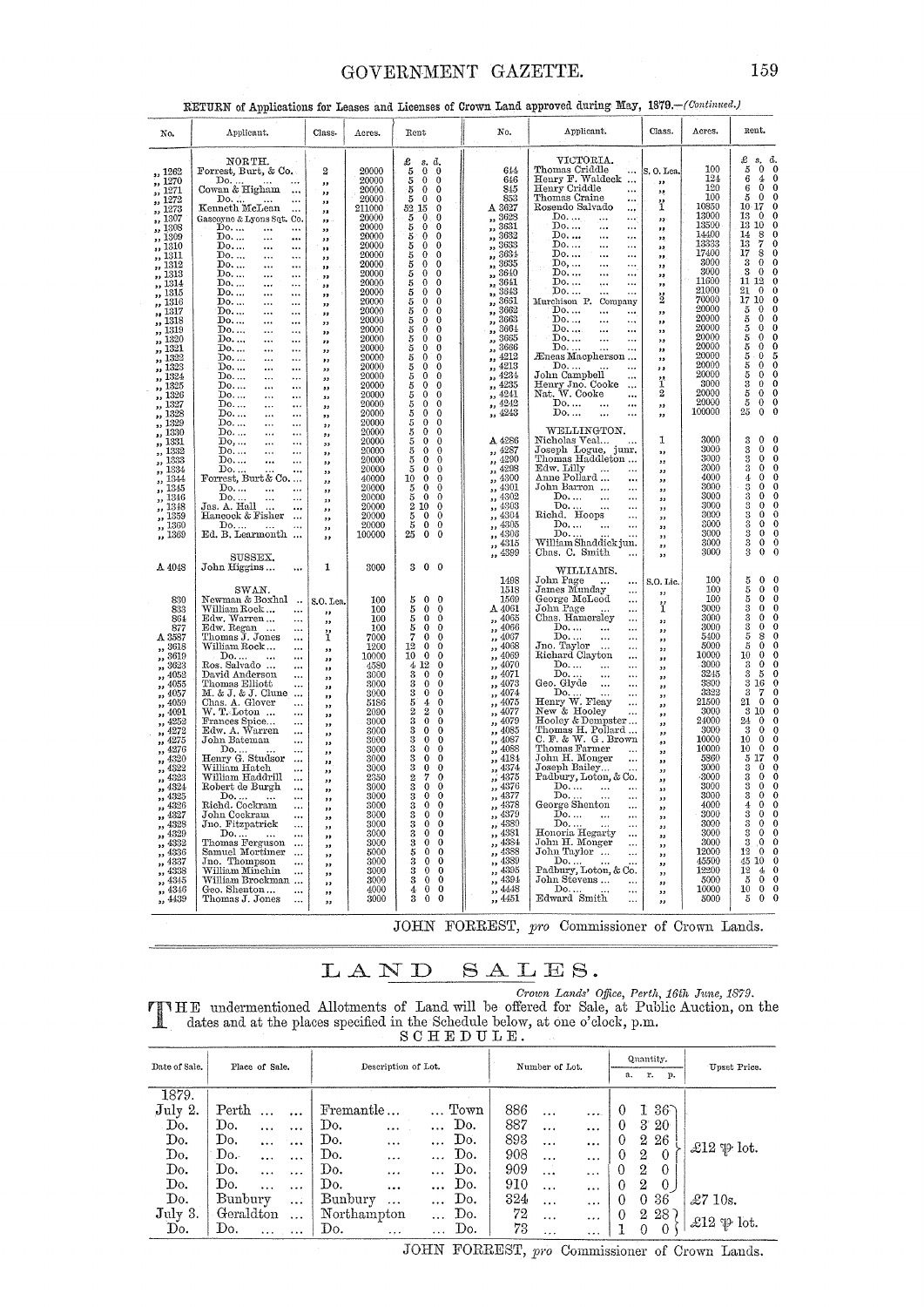# GOVERNMENT GAZETTE.

# RETURN of Applications for Leases and Licenses of Crown Land approved during May, 1879. - (Continued.)

| No.                                                                                                                                                                                                                                                                                                                                                             | Applicant.                                                                                                                                                                                                                                                                                                                                                                                                                                                                                                                                                                                                                                                                                                                                                                                                                                                                                                                         | Class.                                                                                                                                                                                                                                                                                                                                                     | Acres.                                                                                                                                                                                                                                                                    | Rent                                                                                                                                                                                                                                                                                                                                                                                                                                                                                                                                                                                                                                                                                                                                                                                                                                                                                                                                                                                                                                                                                                                     | No.                                                                                                                                                                                                                                                                                                                                                                                                                                                                                                                                                                                                                                                                                                                                                                                                                                                           | Applicant.                                                                                                                                                                                                                                                                                                                                                                                                                                                                                                                                                                                                                                                                                                                                                                                                                                                                                                                                    | Class.                                                                                                                                                                                                                                                                                                                                                                                                                                               | Acres.                                                                                                                                                                                                                                                                                     | Rent.                                                                                                                                                                                                                                                                                                                                                                                                                                                                                                                                                                                                                                                                                                                                                                                                                      |
|-----------------------------------------------------------------------------------------------------------------------------------------------------------------------------------------------------------------------------------------------------------------------------------------------------------------------------------------------------------------|------------------------------------------------------------------------------------------------------------------------------------------------------------------------------------------------------------------------------------------------------------------------------------------------------------------------------------------------------------------------------------------------------------------------------------------------------------------------------------------------------------------------------------------------------------------------------------------------------------------------------------------------------------------------------------------------------------------------------------------------------------------------------------------------------------------------------------------------------------------------------------------------------------------------------------|------------------------------------------------------------------------------------------------------------------------------------------------------------------------------------------------------------------------------------------------------------------------------------------------------------------------------------------------------------|---------------------------------------------------------------------------------------------------------------------------------------------------------------------------------------------------------------------------------------------------------------------------|--------------------------------------------------------------------------------------------------------------------------------------------------------------------------------------------------------------------------------------------------------------------------------------------------------------------------------------------------------------------------------------------------------------------------------------------------------------------------------------------------------------------------------------------------------------------------------------------------------------------------------------------------------------------------------------------------------------------------------------------------------------------------------------------------------------------------------------------------------------------------------------------------------------------------------------------------------------------------------------------------------------------------------------------------------------------------------------------------------------------------|---------------------------------------------------------------------------------------------------------------------------------------------------------------------------------------------------------------------------------------------------------------------------------------------------------------------------------------------------------------------------------------------------------------------------------------------------------------------------------------------------------------------------------------------------------------------------------------------------------------------------------------------------------------------------------------------------------------------------------------------------------------------------------------------------------------------------------------------------------------|-----------------------------------------------------------------------------------------------------------------------------------------------------------------------------------------------------------------------------------------------------------------------------------------------------------------------------------------------------------------------------------------------------------------------------------------------------------------------------------------------------------------------------------------------------------------------------------------------------------------------------------------------------------------------------------------------------------------------------------------------------------------------------------------------------------------------------------------------------------------------------------------------------------------------------------------------|------------------------------------------------------------------------------------------------------------------------------------------------------------------------------------------------------------------------------------------------------------------------------------------------------------------------------------------------------------------------------------------------------------------------------------------------------|--------------------------------------------------------------------------------------------------------------------------------------------------------------------------------------------------------------------------------------------------------------------------------------------|----------------------------------------------------------------------------------------------------------------------------------------------------------------------------------------------------------------------------------------------------------------------------------------------------------------------------------------------------------------------------------------------------------------------------------------------------------------------------------------------------------------------------------------------------------------------------------------------------------------------------------------------------------------------------------------------------------------------------------------------------------------------------------------------------------------------------|
| ,, 1262<br>,, 1270<br>,, 1271<br>, 1272<br>,, 1273<br>,, 1307<br>,, 1308<br>,, 1309<br>,, 1310<br>,, 1311<br>" 1312<br>,, 1313<br>,, 1314<br>" 1315                                                                                                                                                                                                             | NORTH.<br>Forrest, Burt, & Co.<br>$\begin{array}{c} \text{Do.} \dots \\ \text{Cowan & \text{Higham} \end{array}$<br>Do.<br>Kenneth McLean<br>Gascoyne & Lyons Sqt. Co.<br>Do<br>$\cdots$<br>$\cdots$<br>Do<br><br><br>$\mathbb{D}$ o<br>$\ddotsc$<br>$\ddotsc$<br>Do<br>$\cdots$<br>$\ldots$<br>$\mathbf{D}$ o<br>$\ddotsc$<br>$\ddotsc$<br>Do.<br><br>$\cdots$<br>Do.<br>$\ddotsc$<br>$\ddotsc$<br>Do.<br>$\cdots$<br>$\ddotsc$                                                                                                                                                                                                                                                                                                                                                                                                                                                                                                   | 2<br>$\overline{\phantom{a}}$<br>,,<br>$\mathbf{v}$<br>$^{\prime}$<br>$^{\prime}$<br>,,<br>,,<br>$\bullet$<br>,,<br>$\bullet$<br>,,<br>$\overline{\mathbf{z}}$<br>,,                                                                                                                                                                                       | 20000<br>20000<br>20000<br>20000<br>211000<br>20000<br>20000<br>20000<br>20000<br>20000<br>20000<br>20000<br>20000<br>20000                                                                                                                                               | $\frac{3}{5}$<br>d.<br>$_{0}^{\mathrm{s}}$<br>$\theta$<br>$\mathbf{0}$<br>$\theta$<br>5<br>0<br>$\mathbf 0$<br>5<br>$\bf{0}$<br>$\theta$<br>52<br>15<br>0<br>5<br>5<br>5<br>5<br>0<br>$\theta$<br>$\mathbf{0}$<br>0<br>0<br>$\bf{0}$<br>$\theta$<br>$\Omega$<br>$\frac{5}{5}$<br>$\mathbf{0}$<br>0<br>$\mathbf{0}$<br>0<br>5<br>0<br>0<br>$\overline{5}$<br>$\mathbf{0}$<br>$\theta$<br>5<br>0<br>0                                                                                                                                                                                                                                                                                                                                                                                                                                                                                                                                                                                                                                                                                                                      | 614<br>646<br>845<br>853<br>$\Delta$ 3627<br>3628<br>,,<br>3631<br>,,<br>3632<br>33<br>3633<br>,,<br>3634<br>,,<br>3635<br>$\overline{\mathbf{z}}$<br>3640<br>33<br>3641<br>,,<br>3643<br>22                                                                                                                                                                                                                                                                                                                                                                                                                                                                                                                                                                                                                                                                  | VICTORIA.<br>Thomas Criddle<br>$\ddotsc$<br>Henry F. Waldeck<br>Henry Criddle<br>$\ddotsc$<br>Thomas Craine<br>$\ddotsc$<br>Rosendo Salvado<br>$\ddotsc$<br>Do.<br>$\ddotsc$<br>$\ddotsc$<br>Do<br><br><br>Do.<br><br>$\cdots$<br>Do.<br><br>$\ddotsc$<br>Do.<br>$\ddotsc$<br>$\cdots$<br>Do,<br>$\ddotsc$<br>$\ddotsc$<br>Do<br><br>$\ddotsc$<br>Do.<br>٠٠٠<br>$\ddotsc$<br>Do.<br><br>$\ddotsc$                                                                                                                                                                                                                                                                                                                                                                                                                                                                                                                                             | S.O. Lea.<br>$\overline{\phantom{a}}$<br>32<br>ï<br>,,<br>,<br>$\mathbf{r}$<br>32<br>,,<br>33<br>,,<br>$\cdot$                                                                                                                                                                                                                                                                                                                                       | 100<br>124<br>120<br>100<br>10850<br>13000<br>13500<br>14400<br>13333<br>17400<br>3000<br>3000<br>11600<br>21000                                                                                                                                                                           | £<br>d.<br>$^{\mathrm{s}}{}_{\mathrm{o}}$<br>$\mathbf{0}$<br>$\begin{array}{c} 5 \\ 6 \end{array}$<br>4<br>$\theta$<br>$\bf 6$<br>0<br>Ō<br>$\Omega$<br>5<br>10<br>17<br>$\Omega$<br>13<br>$\Omega$<br>$\theta$<br>13<br>10<br>$\mathbf 0$<br>14<br>$\frac{8}{7}$<br>$\mathbf{0}$<br>13<br>$\theta$<br>$\frac{8}{0}$<br>17<br>$\Omega$<br>3<br>0<br>$\theta$<br>3<br>$\Omega$<br>12<br>11<br>$\mathbf 0$<br>$\frac{21}{17}$<br>$\bf{0}$<br>$\mathbf{0}$                                                                                                                                                                                                                                                                                                                                                                    |
| ,, 1316<br>,, 1317<br>,, 1318<br>,, 1319<br>,, 1320<br>,, 1321<br>,, 1322<br>,, 1323<br>,, 1324<br>,, 1325<br>,, 1326<br>,, 1327<br>1328<br>$\bullet$<br>1329<br>$\bullet$                                                                                                                                                                                      | Do<br><br>$\ddotsc$<br>Do.<br>$\ddotsc$<br>$\ddotsc$<br>$\mathbb{D}$ o<br>$\ddotsc$<br>$\ddotsc$<br>Do. ,<br>$\cdots$<br>$\ldots$<br>Do. ,<br><br>$\ddotsc$<br>Do.<br>$\ddotsc$<br>$\ddotsc$<br>Do.<br><br><br>Do.<br>$\cdots$<br><br>Do.<br><br><br>$\mathbb{D}$ o<br>$\ddotsc$<br>$\ddotsc$<br>Do<br>$\cdots$<br>$\cdots$<br>Do<br><br><br>Do.<br>$\ddotsc$<br>$\ddotsc$<br>Do<br>$\ddotsc$<br>$\ddotsc$                                                                                                                                                                                                                                                                                                                                                                                                                                                                                                                         | $^{\prime\prime}$<br>,,<br>$\overline{\phantom{a}}$<br>,,<br>,,<br>,,<br>$\bullet$<br>,,<br>,,<br>,,<br>,,<br>$\overline{\mathbf{z}}$<br>,,<br>,,                                                                                                                                                                                                          | 20000<br>20000<br>20000<br>20000<br>20000<br>20000<br>20000<br>20000<br>20000<br>20000<br>20000<br>20000<br>20000<br>20000                                                                                                                                                | $\overline{5}$<br>0<br>$\theta$<br>5<br>$\Omega$<br>0<br><b>Secure SE</b><br>0<br>$\mathbf{0}$<br>$\theta$<br>0<br>0<br>$\bf{0}$<br>$\mathbf{0}$<br>0<br>0<br>0<br>0<br>$\mathbf 0$<br>5<br>5<br>5<br>5<br>$\mathbf{0}$<br>0<br>$\Omega$<br>$\Omega$<br>0<br>$\bf{0}$<br>$\theta$<br>$\Omega$<br>5<br>$\Omega$<br>0<br>$\frac{5}{5}$<br>0<br>0<br>$\theta$                                                                                                                                                                                                                                                                                                                                                                                                                                                                                                                                                                                                                                                                                                                                                               | 3661<br>,,<br>3662<br>,,<br>3663<br>,,<br>3664<br>22<br>3665<br>33<br>3666<br>٠,<br>4212<br>,,<br>4213<br>,,<br>,, 4234<br>,, 4235<br>,, 4241<br>4242<br>,,<br>,, 4243                                                                                                                                                                                                                                                                                                                                                                                                                                                                                                                                                                                                                                                                                        | Murchison P. Company<br>Do.<br>$\cdots$<br><br>Do.<br>$\cdots$<br><br>$\overline{\text{Do}}$<br>$\ddotsc$<br>Do.<br>$\ddotsc$<br>$\cdots$<br>Do.<br>Eneas Macpherson<br>Do.<br>John Campbell<br><br>Henry Jno. Cooke<br>$\ddotsc$<br>Nat. W. Cooke<br>$\ddotsc$<br>Do.<br><br>Do.<br><br>$\ddotsc$<br>WELLINGTON.                                                                                                                                                                                                                                                                                                                                                                                                                                                                                                                                                                                                                             | $\ddot{2}$<br>$\overline{\mathbf{z}}$<br>,,<br>5.3<br>$, \,$<br>$^{\prime}$<br>,,<br>,,<br>ï<br>$\overline{2}$<br>$\overline{\mathbf{z}}$<br>$\bullet$                                                                                                                                                                                                                                                                                               | 70000<br>20000<br>20000<br>20000<br>20000<br>20000<br>20000<br>20000<br>20000<br>3000<br>20000<br>20000<br>100000                                                                                                                                                                          | 10<br>$\theta$<br>$\rm 5$<br>$\bf{0}$<br>ō<br>5<br>$\boldsymbol{0}$<br>$\bf{0}$<br>$\bf{0}$<br>5<br>$\mathbf 0$<br>$\bf{0}$<br>5<br>5<br>5<br>$\bf{0}$<br>$\bf{0}$<br>5<br>$\bf 5$<br>$\theta$<br>$\bf 5$<br>$\theta$<br>$\frac{3}{5}$<br>$\bf{0}$<br>$\mathbf 0$<br>$\theta$<br>$\theta$<br>5<br>0<br>0<br>25<br>$\ddot{\mathbf{0}}$                                                                                                                                                                                                                                                                                                                                                                                                                                                                                      |
| ,, 1330<br>1331<br>$\bullet$<br>,, 1332<br>,, 1333<br>,, 1334<br>,, 1344<br>,, 1345<br>,, 1346<br>,, 1348<br>,, 1359<br>,, 1360<br>,, 1369                                                                                                                                                                                                                      | Do.<br>$\cdots$<br>$\cdots$<br>Do,<br><br><br>Do.<br>$\ddotsc$<br>$\ddotsc$<br>Do<br><br>$\cdots$<br>$\begin{array}{c} \text{Do.} \dots \dots \dots \\ \text{Forrest, Burt \& Co.} \dots \end{array}$<br>Do.<br>$\ddotsc$<br>$\ddotsc$<br>Do.<br>$\ddotsc$<br>$\ddotsc$<br>Jas. A. Hall<br>Hancock & Fisher<br>$\ddotsc$<br>Do.<br>$\sim$ 100 $\mu$<br>Ed. B. Learmonth<br>SUSSEX.                                                                                                                                                                                                                                                                                                                                                                                                                                                                                                                                                 | ,,<br>53<br>,,<br>,,<br>,,<br>$, \,$<br>,<br>$\mathbf{z}$<br>,,<br>,,<br>$^{\bullet}$<br>$\overline{\phantom{a}}$                                                                                                                                                                                                                                          | 20000<br>20000<br>20000<br>20000<br>20000<br>40000<br>20000<br>20000<br>20000<br>20000<br>20000<br>100000                                                                                                                                                                 | 0<br>5<br>5<br>$\Omega$<br>$\mathbf 0$<br>0<br>∩<br>5<br>5<br>$\mathbf{0}$<br>0<br>$\pmb{0}$<br>$\Omega$<br>10<br>$\bf{0}$<br>0<br>$\mathbf{0}$<br>5<br>$\Omega$<br>5<br>$\mathbf 0$<br>0<br>$\overline{2}$<br>$\theta$<br>10<br>5<br>$\mathbf 0$<br>0<br>$\theta$<br>$\theta$<br>25<br>0<br>$\bf{0}$                                                                                                                                                                                                                                                                                                                                                                                                                                                                                                                                                                                                                                                                                                                                                                                                                    | A 4286<br>4287<br>.,<br>4290<br>,,<br>4298<br>5.5<br>,, 4300<br>4301<br>$\overline{\phantom{a}}$<br>4302<br>,,<br>4303<br>$\overline{\mathbf{z}}$<br>4304<br>$\bullet$<br>4305<br>,,<br>4306<br>$\pmb{\mathfrak{z}}$<br>4315<br>$\overline{\phantom{a}}$<br>4399<br>$\overline{\mathbf{z}}$                                                                                                                                                                                                                                                                                                                                                                                                                                                                                                                                                                   | Nicholas Veal<br>Joseph Logue, junr.<br>Thomas Haddleton<br>Edw. Lilly<br>Anne Pollard<br><br>John Barron<br><br>$\mathbf{Do}, \dots$<br>$\ddotsc$<br>$\ddotsc$<br>$\begin{array}{c} \text{Do.} \dots \\ \text{Richard. Hoops} \end{array}$<br>$\ddotsc$<br><br>$\ddotsc$<br>Do.<br>$\ddotsc$<br>$\ddotsc$<br>Do<br>William Shaddick jun.<br>Chas. C. Smith                                                                                                                                                                                                                                                                                                                                                                                                                                                                                                                                                                                   | 1<br>$\overline{\mathbf{z}}$<br>22<br>,,<br>$^{\prime\prime}$<br>$^{\circ}$<br>,,<br>$, \,$<br>,,<br>,,<br>$\overline{\mathbf{22}}$<br>,,<br>$\overline{\mathbf{z}}$                                                                                                                                                                                                                                                                                 | 3000<br>3000<br>3000<br>3000<br>4000<br>3000<br>3000<br>3000<br>3000<br>3000<br>3000<br>3000<br>3000                                                                                                                                                                                       | 0<br>3<br>$\bf{0}$<br>3<br>0<br>$\mathbf 0$<br>3<br>$\theta$<br>$\Omega$<br>3<br>$\mathbf 0$<br>$\theta$<br>4<br>$\Omega$<br>$\frac{3}{3}$<br>0<br>$\bf{0}$<br>$\Omega$<br>$\frac{3}{3}$<br>$\Omega$<br>$\Omega$<br>သိသေးသ<br>0<br>$\bf{0}$<br>$\Omega$<br>0<br>0<br>$\theta$<br>$\Omega$                                                                                                                                                                                                                                                                                                                                                                                                                                                                                                                                  |
| A 4048<br>830<br>833<br>864<br>877<br>A 3587<br>,, 3618<br>,, 3619<br>,, 3623<br>,, 4052<br>,, 4055<br>, 4057<br>,, 4059<br>,, 4091<br>,, 4252<br>,, 4272<br>$\frac{4275}{1}$<br>, 4320<br>,, 4322<br>,, 4323<br>,, 4324<br>,, 4325<br>,, 4326<br>,, 4327<br>,, 4328<br>,, 4329<br>$, \frac{4332}{4336}$<br>,, 4337<br>,, 4338<br>,, 4345<br>,, 4346<br>,, 4439 | John Higgins<br>$\ddotsc$<br>SWAN.<br>Newman & Boxhal<br>William Rock<br>$\ddotsc$<br>Edw. Warren<br>$\ddotsc$<br>Edw. Regan<br><br>Thomas J. Jones<br>$\cdots$<br>William Rock<br><br>$$\mathbb{D}{{}_{0}}$$ Ros. Salvado $~$<br><br><br>David Anderson<br>$\ddotsc$<br>Thomas Elliott<br>M. & J. & J. Clune<br>Chas. A. Glover<br><br>W. T. Loton<br><br>Frances Spice<br>Edw. A. Warren<br><br>$\ddotsc$<br>John Bateman<br><br>Do<br>Henry G. Studsor<br>William Hatch<br>$\ddotsc$<br><br>William Haddrill<br>$\ddotsc$<br>Robert de Burgh<br>$\ddotsc$<br>$\begin{minipage}{.4\linewidth} Do. \dots & \dots \\ \textbf{Richard. Cockram} \end{minipage}$<br><br><br>John Cockram<br><br>Jno Fitzpatrick<br>Do <sup>.</sup><br>Thomas Ferguson<br>$\cdots$<br>Samuel Mortimer<br>$\ddotsc$<br>Jno. Thompson<br><br>William Minchin<br>$\cdots$<br>William Brockman<br>Geo. Shenton<br>$\cdots$<br>Thomas J. Jones<br>$\cdots$ | 1<br>S.O. Lea.<br>,,<br>$\overline{\mathbf{z}}$<br>ï<br>,,<br>$^{\tiny{33}}$<br>$\overline{\mathbf{1}}$<br>,,<br>$\bullet$<br>33<br>$\overline{\mathbf{z}}$<br>,,<br>$^{\circ}$<br>,,<br>$, \,$<br>,,<br>$^{\prime}$<br>,,<br>,,<br>,,<br>$, \,$<br>,,<br>,,<br>,,<br>,,<br>$\overline{\mathbf{z}}$<br>,,<br>$^{\tiny{33}}$<br>,,<br>$\bullet$<br>,,<br>,, | 3000<br>100<br>100<br>100<br>100<br>7000<br>1200<br>10000<br>4580<br>3000<br>3000<br>3000<br>5186<br>2090<br>3000<br>3000<br>3000<br>3000<br>3000<br>3000<br>2350<br>3000<br>3000<br>3000<br>3000<br>3000<br>3000<br>3000<br>5000<br>3000<br>3000<br>3000<br>4000<br>3000 | $3\quad0$<br>$\overline{\mathbf{0}}$<br>$\mathbf{0}$<br>$\theta$<br>5<br>5<br>$\mathbf{0}$<br>$\boldsymbol{0}$<br>55<br>$\mathbf{0}$<br>$\bf{0}$<br>$\theta$<br>$\Omega$<br>7<br>$\mathbf 0$<br>$\bf{0}$<br>12<br>$\theta$<br>$\bf{0}$<br>10<br>$\bf{0}$<br>0<br>4 12<br>$\mathbf{0}$<br>3<br>0<br>0<br>$\frac{3}{3}$<br>$\mathbf 0$<br>$\Omega$<br>$\bf{0}$<br>$\Omega$<br>5<br>4<br>$\mathbf 0$<br>$\bar{2}$<br>$^{2}$<br>0<br>3<br>$\mathbf 0$<br>$\Omega$<br>$\ddot{\mathbf{0}}$<br>0<br>3<br>$\mathbf 0$<br>0<br>$\bar{3}$<br>$\boldsymbol{0}$<br>$\Omega$<br>3<br>0<br>$\Omega$<br>3<br>$\mathbf 0$<br>$\bf{0}$<br>$\overline{2}$<br>7<br>0<br>$\overline{\overline{3}}$<br>$\ddot{\mathbf{0}}$<br>$\mathbf{0}$<br>$\frac{3}{3}$<br>0<br>0<br>$\bf{0}$<br>0<br>$\bf{0}$<br>3<br>$\bf{0}$<br>$\overline{\mathbf{3}}$<br>$\mathbf 0$<br>$\Omega$<br>$\boldsymbol{0}$<br>3<br>$\Omega$<br>$\overline{\mathbf{3}}$<br>$\mathbf 0$<br>$\Omega$<br>5<br>$\bf{0}$<br>0<br>$\frac{3}{3}$<br>$\theta$<br>0<br>$\bf{0}$<br>0<br>$\bar{3}$<br>$\mathbf{0}$<br>0<br>$\boldsymbol{0}$<br>4<br>0<br>3<br>$\mathbf 0$<br>$\Omega$ | 1498<br>1518<br>1569<br>A 4061<br>4065<br>$\overline{\mathbf{z}}$<br>4066<br>$\overline{\mathbf{z}}$<br>4067<br>$\overline{\phantom{a}}$<br>4068<br>$, \,$<br>4069<br>$\overline{\phantom{a}}$<br>4070<br>$\overline{\phantom{a}}$<br>4071<br>,,<br>4073<br>,,<br>4074<br>$\overline{\phantom{a}}$<br>4075<br>$\overline{\mathbf{z}}$<br>4077<br>$\overline{\phantom{a}}$<br>,, 4079<br>,, 4085<br>4087<br>,,<br>4088<br>$\overline{\mathbf{z}}$<br>4184<br>$\bullet$<br>4374<br>$\overline{\mathbf{z}}$<br>4375<br>$\overline{\phantom{a}}$<br>4376<br>$\overline{\phantom{a}}$<br>,, 4377<br>4378<br>$\overline{\phantom{a}}$<br>4379<br>$, \,$<br>4380<br>$\bullet$<br>4381<br>,,<br>4384<br>$\mathbf{r}$<br>4388<br>$, \,$<br>4389<br>$\overline{\phantom{a}}$<br>4395<br>$\ddot{\phantom{1}}$<br>4394<br>$\overline{\phantom{a}}$<br>4448<br>5.5<br>4451 | WILLIAMS.<br>John Page<br>$\ddotsc$<br>James Munday<br>$\ddotsc$<br>George McLeod<br>$\ddotsc$<br>John Page<br><br>Chas. Hamersley<br>$\ddotsc$<br>Do.<br>$\ddotsc$<br><br>Do.<br>$\cdots$<br>$\cdots$<br>Jno. Taylor<br>$\ddot{\phantom{a}}$<br><br>Richard Clayton<br>$\ddotsc$<br>Do.<br>$\ddotsc$<br><br>Do.<br>$\ddotsc$<br><br>Geo. Glyde<br>$\ddotsc$<br><br>Do<br>Henry W. Fleay<br><br><br>New & Hooley<br>Hooley & Dempster<br>Thomas H. Pollard<br>$C. F. \& W. G. Brown$<br>Thomas Farmer<br>John H. Monger<br>Joseph Bailey<br>$\cdots$<br>Padbury, Loton, & Co.<br>${\rm Do.}$<br>$\begin{array}{c} \text{Do.} \dots \dots \\ \text{George Shenton} \end{array}$<br>$\ddotsc$<br><br>Do.<br>$\cdots$<br>$\ddot{\phantom{0}}$<br>Do<br>Honoria Hegarty<br>.<br>$\ddotsc$<br>John H. Monger<br>$\ddotsc$<br>John Taylor<br>$\ddotsc$<br>Do<br>Padbury, Loton, & Co.<br>John Stevens<br>$\cdots$<br>Do<br>Edward Smith<br>$\cdots$ | S.O. Lic.<br>$^{\tiny{\text{23}}}$<br>ï<br>,,<br>,,<br>$\overline{\mathbf{z}}$<br>,<br>$\overline{\mathbf{z}}$<br>$\overline{\phantom{a}}$<br>,,<br>$, \,$<br>,,<br>$\overline{\phantom{a}}$<br>,,<br>,<br>,,<br>$\overline{\phantom{a}}$<br>$^{\prime}$<br>,,<br>$^{\prime}$<br>29<br>$^{\circ}$<br>,,<br>$^{12}$<br>$^{12}$<br>$\overline{\phantom{a}}$<br>33<br>, ,<br>,,<br>$\overline{\mathbf{z}}$<br>,,<br>$\overline{\mathbf{z}}$<br>,,<br>,, | 100<br>100<br>100<br>3000<br>3000<br>3000<br>5400<br>5000<br>10000<br>3000<br>3245<br>3800<br>3322<br>21500<br>3000<br>24000<br>3000<br>10000<br>10000<br>5860<br>3000<br>3000<br>3000<br>3000<br>4000<br>3000<br>3000<br>3000<br>3000<br>12000<br>45500<br>12200<br>5000<br>10000<br>5000 | 5<br>$\mathbf{0}$<br>$\Omega$<br>5<br>$\theta$<br>$\theta$<br>5<br>$\mathbf 0$<br>0<br>3<br>$\theta$<br>$\Omega$<br>$\overline{\mathbf{3}}$<br>$\Omega$<br>0<br>$\frac{3}{5}$<br>$\bf{0}$<br>8<br>0<br>5<br>0<br>10<br>$\bf{0}$<br>$\Omega$<br>$\mathbf 0$<br>3<br>3<br>5<br>0<br>$\frac{3}{3}$<br>16<br>7<br>21<br>$\bf{0}$<br>3 10<br>$\theta$<br>24<br>0<br>3<br>$\Omega$<br>$\Omega$<br>10<br>0<br>$\theta$<br>$\theta$<br>$\theta$<br>10<br>17<br>5<br>$\bf{0}$<br>$\ddot{\mathbf{3}}$<br>$\bf{0}$<br>3<br>0<br>$\overline{\mathbf{3}}$<br>$\theta$<br>0<br>3<br>0<br>$\Omega$<br>4<br>3<br>0<br>0<br>$\frac{3}{3}$<br>$\mathbf 0$<br>$\theta$<br>$\mathbf 0$<br>0<br>3<br>.0<br>$12\,$<br>$\Omega$<br>Ω<br>45<br>10<br>12<br>4<br>$\theta$<br>5<br>0<br>10<br>$\pmb{0}$<br>$\theta$<br>$\mathbf{0}$<br>$\Omega$<br>5 |

JOHN FORREST, pro Commissioner of Crown Lands.

#### ${\bf L}$  A N D  $SALES.$

Crown Lands' Office, Perth, 16th June, 1879.<br>
dates and at the places specified in the Schedule below, at one o'clock, p.m.<br>
SCHEDULE.

| Date of Sale. | Place of Sale.               | Description of Lot.             | Number of Lot.                                             | Quantity.<br>r.<br>a.<br>p.            | Upset Price.            |
|---------------|------------------------------|---------------------------------|------------------------------------------------------------|----------------------------------------|-------------------------|
| 1879.         |                              |                                 |                                                            |                                        |                         |
| July 2.       | Perth<br>$\cdots$            | Fremantle<br>Town               | 886<br>$\cdots$<br>$\bullet$ $\bullet$ $\bullet$ $\bullet$ | $36^\circ$<br>T<br>$\theta$            |                         |
| Do.           | Do.<br>$\cdots$<br>$\cdots$  | Do.<br>$\cdots$<br>$\cdots$     | 887<br>Do.<br>$\cdots$<br>                                 | $3^{\circ}20^{\circ}$<br>$\theta$      |                         |
| Do.           | Do.<br>$\ddotsc$<br>$\cdots$ | Do.<br>$\cdots$<br>             | 893<br>Do.<br>$\cdots$<br>$\cdots$                         | $^{2}$<br>26                           |                         |
| Do.           | Do.<br>$\cdots$              | Do.<br><br>$\cdots$             | 908<br>Do.<br>$\cdots$<br>$\ddotsc$                        | 2<br>$\Omega$<br>$\theta$              | $\pounds12 \npsi$ lot.  |
| Do.           | Do.<br>$\ddotsc$             | Do.<br>$\cdots$<br>$\cdots$     | Do.<br>909<br>$\cdots$<br>$\cdots$                         | $\overline{2}$<br>$\theta$<br>$\Omega$ |                         |
| Do.           | Do.<br>$\cdots$              | Do.<br><br>                     | 910<br>Do.<br>$\cdots$<br>$\cdots$                         | 2<br>$\mathbf{0}$<br>$\Omega$          |                         |
| Do.           | Bunbury<br>$\ddotsc$         | Bunbury<br>$\cdots$<br>$\cdots$ | 324<br>Do.<br>$\cdots$<br>$\cdots$                         | 36<br>0<br>0                           | $\pounds$ 7 10s.        |
| July 3.       | Geraldton<br>$\ddotsc$       | Northampton<br>                 | 72<br>Do.<br>$\ddotsc$<br>$\ddotsc$                        | -28 )<br>$^{2}$<br>$\theta$            |                         |
| Do.           | Do.<br>Address Canada        | Do.<br>.,.<br>$\cdots$          | 73<br>Do.<br>$\cdots$<br>$\cdots$                          | $\theta$<br>0                          | £12 $\mathfrak{p}$ lot. |

JOHN FORREST, pro Commissioner of Crown Lands.